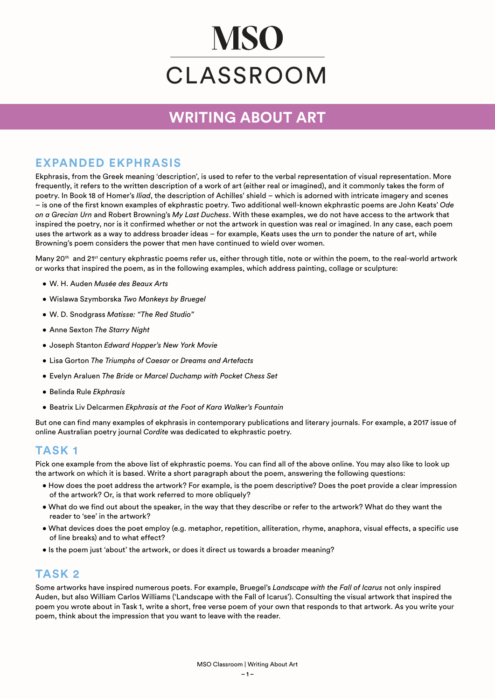# **MSO** CLASSROOM

# **WRITING ABOUT ART**

### **EXPANDED EKPHRASIS**

Ekphrasis, from the Greek meaning 'description', is used to refer to the verbal representation of visual representation. More frequently, it refers to the written description of a work of art (either real or imagined), and it commonly takes the form of poetry. In Book 18 of Homer's *Iliad*, the description of Achilles' shield – which is adorned with intricate imagery and scenes – is one of the first known examples of ekphrastic poetry. Two additional well-known ekphrastic poems are John Keats' *Ode on a Grecian Urn* and Robert Browning's *My Last Duchess*. With these examples, we do not have access to the artwork that inspired the poetry, nor is it confirmed whether or not the artwork in question was real or imagined. In any case, each poem uses the artwork as a way to address broader ideas – for example, Keats uses the urn to ponder the nature of art, while Browning's poem considers the power that men have continued to wield over women.

Many 20<sup>th</sup> and 21<sup>st</sup> century ekphrastic poems refer us, either through title, note or within the poem, to the real-world artwork or works that inspired the poem, as in the following examples, which address painting, collage or sculpture:

- W. H. Auden *Musée des Beaux Arts*
- Wislawa Szymborska *Two Monkeys by Bruegel*
- W. D. Snodgrass *Matisse: "The Red Studio"*
- Anne Sexton *The Starry Night*
- Joseph Stanton *Edward Hopper's New York Movie*
- Lisa Gorton *The Triumphs of Caesar* or *Dreams and Artefacts*
- Evelyn Araluen *The Bride* or *Marcel Duchamp with Pocket Chess Set*
- Belinda Rule *Ekphrasis*
- Beatrix Liv Delcarmen *Ekphrasis at the Foot of Kara Walker's Fountain*

But one can find many examples of ekphrasis in contemporary publications and literary journals. For example, a 2017 issue of online Australian poetry journal *Cordite* was dedicated to ekphrastic poetry.

#### **TASK 1**

Pick one example from the above list of ekphrastic poems. You can find all of the above online. You may also like to look up the artwork on which it is based. Write a short paragraph about the poem, answering the following questions:

- How does the poet address the artwork? For example, is the poem descriptive? Does the poet provide a clear impression of the artwork? Or, is that work referred to more obliquely?
- What do we find out about the speaker, in the way that they describe or refer to the artwork? What do they want the reader to 'see' in the artwork?
- What devices does the poet employ (e.g. metaphor, repetition, alliteration, rhyme, anaphora, visual effects, a specific use of line breaks) and to what effect?
- Is the poem just 'about' the artwork, or does it direct us towards a broader meaning?

#### **TASK 2**

Some artworks have inspired numerous poets. For example, Bruegel's *Landscape with the Fall of Icarus* not only inspired Auden, but also William Carlos Williams ('Landscape with the Fall of Icarus'). Consulting the visual artwork that inspired the poem you wrote about in Task 1, write a short, free verse poem of your own that responds to that artwork. As you write your poem, think about the impression that you want to leave with the reader.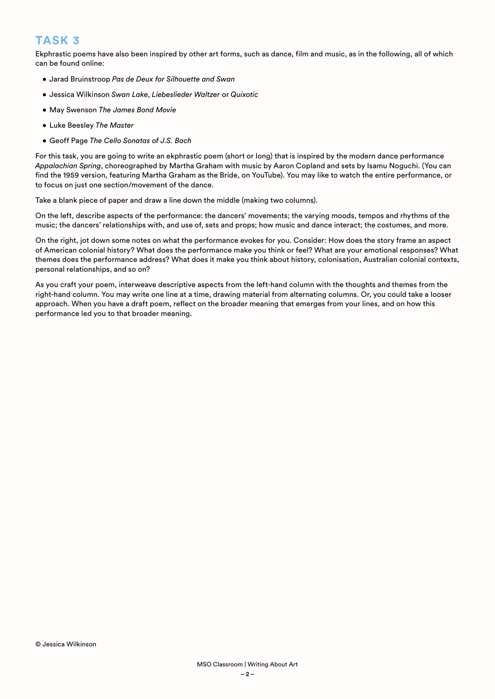## **TASK 3**

Ekphrastic poems have also been inspired by other art forms, such as dance, film and music, as in the following, all of which can be found online:

- Jarad Bruinstroop *Pas de Deux for Silhouette and Swan*
- Jessica Wilkinson *Swan Lake*, *Liebeslieder Waltzer* or *Quixotic*
- May Swenson *The James Bond Movie*
- Luke Beesley *The Master*
- Geoff Page *The Cello Sonatas of J.S. Bach*

For this task, you are going to write an ekphrastic poem (short or long) that is inspired by the modern dance performance *Appalachian Spring*, choreographed by Martha Graham with music by Aaron Copland and sets by Isamu Noguchi. (You can find the 1959 version, featuring Martha Graham as the Bride, on YouTube). You may like to watch the entire performance, or to focus on just one section/movement of the dance.

Take a blank piece of paper and draw a line down the middle (making two columns).

On the left, describe aspects of the performance: the dancers' movements; the varying moods, tempos and rhythms of the music; the dancers' relationships with, and use of, sets and props; how music and dance interact; the costumes, and more.

On the right, jot down some notes on what the performance evokes for you. Consider: How does the story frame an aspect of American colonial history? What does the performance make you think or feel? What are your emotional responses? What themes does the performance address? What does it make you think about history, colonisation, Australian colonial contexts, personal relationships, and so on?

As you craft your poem, interweave descriptive aspects from the left-hand column with the thoughts and themes from the right-hand column. You may write one line at a time, drawing material from alternating columns. Or, you could take a looser approach. When you have a draft poem, reflect on the broader meaning that emerges from your lines, and on how this performance led you to that broader meaning.